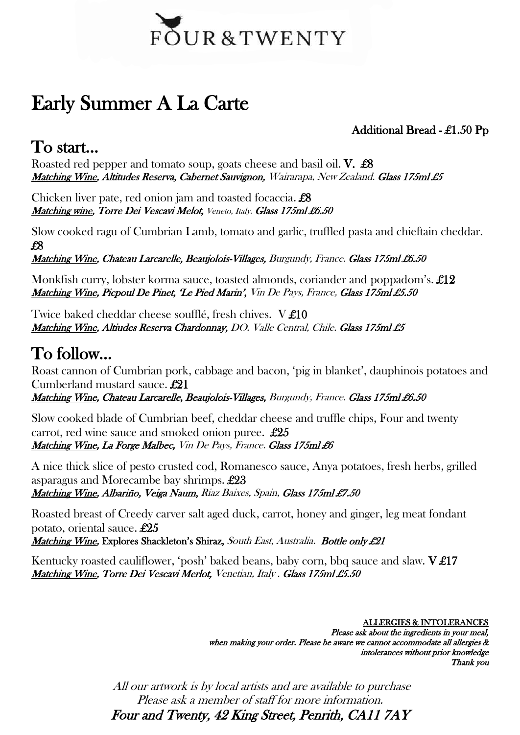

# Early Summer A La Carte

Additional Bread - £1.50 Pp

### To start…

Roasted red pepper and tomato soup, goats cheese and basil oil. V. £8 Matching Wine, Altitudes Reserva, Cabernet Sauvignon, Wairarapa, New Zealand. Glass 175ml £5

Chicken liver pate, red onion jam and toasted focaccia. £8 Matching wine, Torre Dei Vescavi Melot, Veneto, Italy. Glass 175ml £6.50

Slow cooked ragu of Cumbrian Lamb, tomato and garlic, truffled pasta and chieftain cheddar. £8

Matching Wine, Chateau Larcarelle, Beaujolois-Villages, Burgundy, France. Glass 175ml £6.50

Monkfish curry, lobster korma sauce, toasted almonds, coriander and poppadom's. £12 Matching Wine, Picpoul De Pinet, 'Le Pied Marin', Vin De Pays, France, Glass 175ml £5.50

Twice baked cheddar cheese soufflé, fresh chives. V £10 Matching Wine, Altiudes Reserva Chardonnay, DO. Valle Central, Chile. Glass 175ml £5

## To follow…

Roast cannon of Cumbrian pork, cabbage and bacon, 'pig in blanket', dauphinois potatoes and Cumberland mustard sauce. £21

Matching Wine, Chateau Larcarelle, Beaujolois-Villages, Burgundy, France. Glass 175ml £6.50

Slow cooked blade of Cumbrian beef, cheddar cheese and truffle chips, Four and twenty carrot, red wine sauce and smoked onion puree. £25 Matching Wine, La Forge Malbec, Vin De Pays, France. Glass 175ml £6

A nice thick slice of pesto crusted cod, Romanesco sauce, Anya potatoes, fresh herbs, grilled asparagus and Morecambe bay shrimps. £23 Matching Wine, Albariño, Veiga Naum, Riaz Baixes, Spain, Glass 175ml £7.50

Roasted breast of Creedy carver salt aged duck, carrot, honey and ginger, leg meat fondant potato, oriental sauce. £25 Matching Wine, Explores Shackleton's Shiraz, South East, Australia. Bottle only £21

Kentucky roasted cauliflower, 'posh' baked beans, baby corn, bbq sauce and slaw. V £17 Matching Wine, Torre Dei Vescavi Merlot, Venetian, Italy . Glass 175ml £5.50

> ALLERGIES & INTOLERANCES Please ask about the ingredients in your meal, when making your order. Please be aware we cannot accommodate all allergies & intolerances without prior knowledge Thank you

All our artwork is by local artists and are available to purchase Please ask a member of staff for more information. Four and Twenty, 42 King Street, Penrith, CA11 7AY